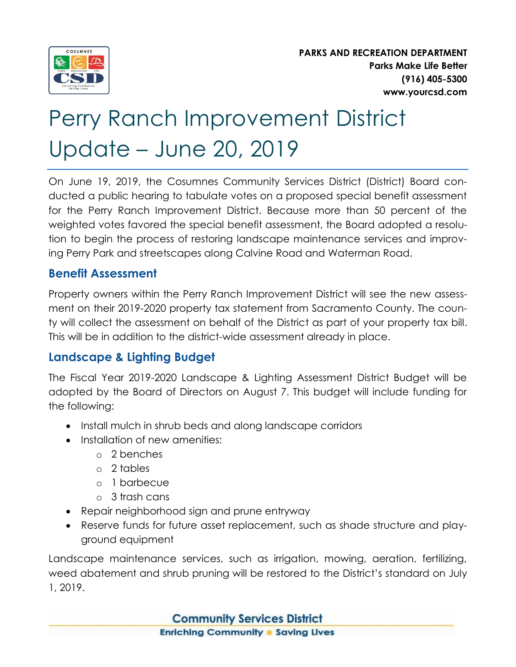

**PARKS AND RECREATION DEPARTMENT Parks Make Life Better (916) 405-5300 www.yourcsd.com**

# Perry Ranch Improvement District Update – June 20, 2019

On June 19, 2019, the Cosumnes Community Services District (District) Board conducted a public hearing to tabulate votes on a proposed special benefit assessment for the Perry Ranch Improvement District. Because more than 50 percent of the weighted votes favored the special benefit assessment, the Board adopted a resolution to begin the process of restoring landscape maintenance services and improving Perry Park and streetscapes along Calvine Road and Waterman Road.

### **Benefit Assessment**

Property owners within the Perry Ranch Improvement District will see the new assessment on their 2019-2020 property tax statement from Sacramento County. The county will collect the assessment on behalf of the District as part of your property tax bill. This will be in addition to the district-wide assessment already in place.

## **Landscape & Lighting Budget**

The Fiscal Year 2019-2020 Landscape & Lighting Assessment District Budget will be adopted by the Board of Directors on August 7. This budget will include funding for the following:

- Install mulch in shrub beds and along landscape corridors
- Installation of new amenities:
	- o 2 benches
	- o 2 tables
	- o 1 barbecue
	- o 3 trash cans
- Repair neighborhood sign and prune entryway
- Reserve funds for future asset replacement, such as shade structure and playground equipment

Landscape maintenance services, such as irrigation, mowing, aeration, fertilizing, weed abatement and shrub pruning will be restored to the District's standard on July 1, 2019.